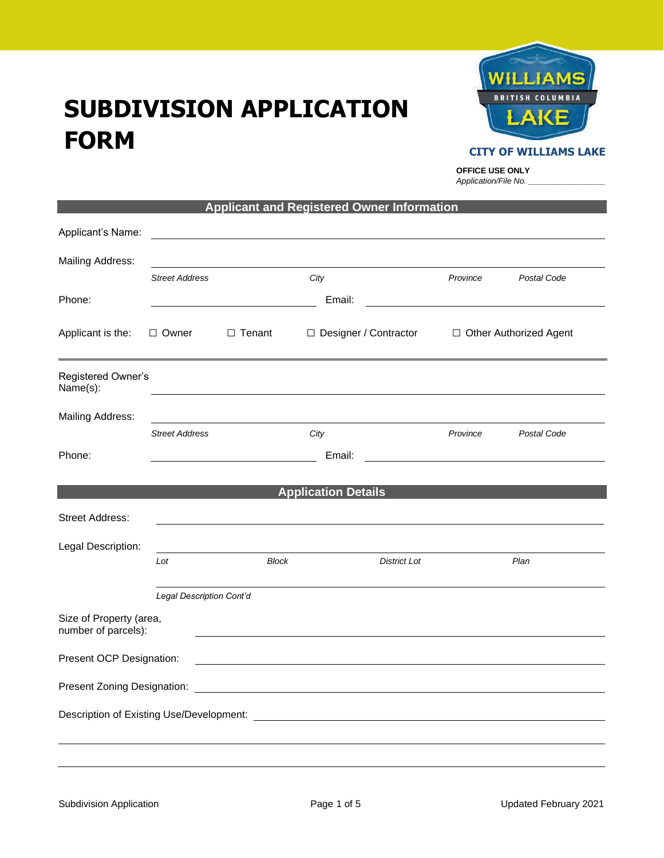# **SUBDIVISION APPLICATION FORM**



#### **CITY OF WILLIAMS LAKE**

**OFFICE USE ONLY** *Application/File No. \_\_\_\_\_\_\_\_\_\_\_\_\_\_\_\_\_*

| Applicant's Name:                              |                          |               |                                                                                                                                                                                                                                     |                          |             |
|------------------------------------------------|--------------------------|---------------|-------------------------------------------------------------------------------------------------------------------------------------------------------------------------------------------------------------------------------------|--------------------------|-------------|
|                                                |                          |               |                                                                                                                                                                                                                                     |                          |             |
| Mailing Address:                               |                          |               |                                                                                                                                                                                                                                     |                          |             |
|                                                | <b>Street Address</b>    |               | City                                                                                                                                                                                                                                | Province                 | Postal Code |
| Phone:                                         |                          |               | Email:                                                                                                                                                                                                                              |                          |             |
| Applicant is the:                              | $\Box$ Owner             | $\Box$ Tenant | □ Designer / Contractor                                                                                                                                                                                                             | □ Other Authorized Agent |             |
| Registered Owner's<br>Name(s):                 |                          |               |                                                                                                                                                                                                                                     |                          |             |
| Mailing Address:                               |                          |               |                                                                                                                                                                                                                                     |                          |             |
|                                                | <b>Street Address</b>    |               | City                                                                                                                                                                                                                                | Province                 | Postal Code |
| Phone:                                         |                          |               | Email:                                                                                                                                                                                                                              |                          |             |
|                                                |                          |               |                                                                                                                                                                                                                                     |                          |             |
|                                                |                          |               | <b>Application Details</b>                                                                                                                                                                                                          |                          |             |
| <b>Street Address:</b>                         |                          |               |                                                                                                                                                                                                                                     |                          |             |
| Legal Description:                             |                          |               |                                                                                                                                                                                                                                     |                          |             |
|                                                | Lot                      | <b>Block</b>  | <b>District Lot</b>                                                                                                                                                                                                                 |                          | Plan        |
|                                                |                          |               |                                                                                                                                                                                                                                     |                          |             |
|                                                | Legal Description Cont'd |               |                                                                                                                                                                                                                                     |                          |             |
| Size of Property (area,<br>number of parcels): |                          |               |                                                                                                                                                                                                                                     |                          |             |
| Present OCP Designation:                       |                          |               |                                                                                                                                                                                                                                     |                          |             |
|                                                |                          |               | Present Zoning Designation: <u>[1989]</u> The Contract of The Contract of The Contract of The Contract of The Contract of The Contract of The Contract of The Contract of The Contract of The Contract of The Contract of The Contr |                          |             |
|                                                |                          |               |                                                                                                                                                                                                                                     |                          |             |
|                                                |                          |               |                                                                                                                                                                                                                                     |                          |             |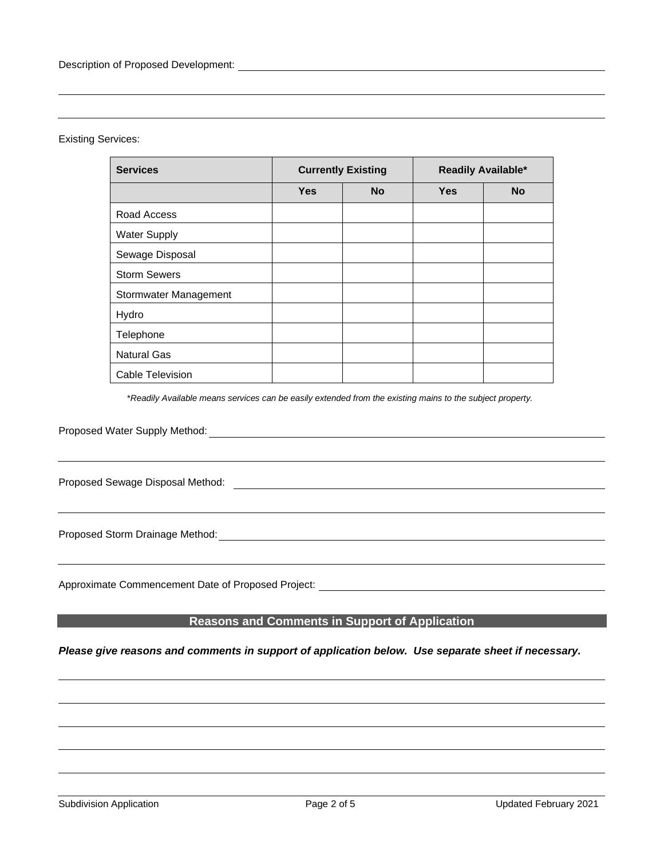#### Existing Services:

| <b>Services</b>       | <b>Currently Existing</b> |           | Readily Available* |           |
|-----------------------|---------------------------|-----------|--------------------|-----------|
|                       | <b>Yes</b>                | <b>No</b> | <b>Yes</b>         | <b>No</b> |
| Road Access           |                           |           |                    |           |
| <b>Water Supply</b>   |                           |           |                    |           |
| Sewage Disposal       |                           |           |                    |           |
| <b>Storm Sewers</b>   |                           |           |                    |           |
| Stormwater Management |                           |           |                    |           |
| Hydro                 |                           |           |                    |           |
| Telephone             |                           |           |                    |           |
| <b>Natural Gas</b>    |                           |           |                    |           |
| Cable Television      |                           |           |                    |           |

\**Readily Available means services can be easily extended from the existing mains to the subject property.*

Proposed Water Supply Method:

Proposed Sewage Disposal Method: 2008 - 2009 - 2009 - 2009 - 2009 - 2009 - 2009 - 2009 - 2009 - 2009 - 2009 - 2009 - 2009 - 2009 - 2009 - 2009 - 2009 - 2009 - 2009 - 2009 - 2009 - 2009 - 2009 - 2009 - 2009 - 2009 - 2009 -

Proposed Storm Drainage Method:

Approximate Commencement Date of Proposed Project:

## **REASONS AND COMMENTS IN Support of Application**

#### *Please give reasons and comments in support of application below. Use separate sheet if necessary.*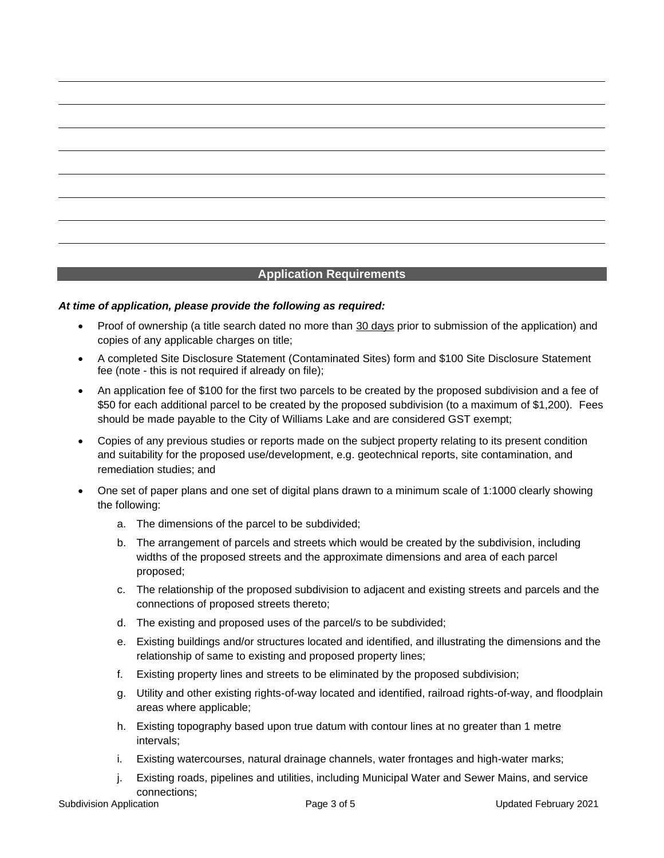### **Application Requirements**

#### *At time of application, please provide the following as required:*

- Proof of ownership (a title search dated no more than 30 days prior to submission of the application) and copies of any applicable charges on title;
- A completed Site Disclosure Statement (Contaminated Sites) form and \$100 Site Disclosure Statement fee (note - this is not required if already on file);
- An application fee of \$100 for the first two parcels to be created by the proposed subdivision and a fee of \$50 for each additional parcel to be created by the proposed subdivision (to a maximum of \$1,200). Fees should be made payable to the City of Williams Lake and are considered GST exempt;
- Copies of any previous studies or reports made on the subject property relating to its present condition and suitability for the proposed use/development, e.g. geotechnical reports, site contamination, and remediation studies; and
- One set of paper plans and one set of digital plans drawn to a minimum scale of 1:1000 clearly showing the following:
	- a. The dimensions of the parcel to be subdivided;
	- b. The arrangement of parcels and streets which would be created by the subdivision, including widths of the proposed streets and the approximate dimensions and area of each parcel proposed;
	- c. The relationship of the proposed subdivision to adjacent and existing streets and parcels and the connections of proposed streets thereto;
	- d. The existing and proposed uses of the parcel/s to be subdivided;
	- e. Existing buildings and/or structures located and identified, and illustrating the dimensions and the relationship of same to existing and proposed property lines;
	- f. Existing property lines and streets to be eliminated by the proposed subdivision;
	- g. Utility and other existing rights-of-way located and identified, railroad rights-of-way, and floodplain areas where applicable;
	- h. Existing topography based upon true datum with contour lines at no greater than 1 metre intervals;
	- i. Existing watercourses, natural drainage channels, water frontages and high-water marks;
	- j. Existing roads, pipelines and utilities, including Municipal Water and Sewer Mains, and service connections;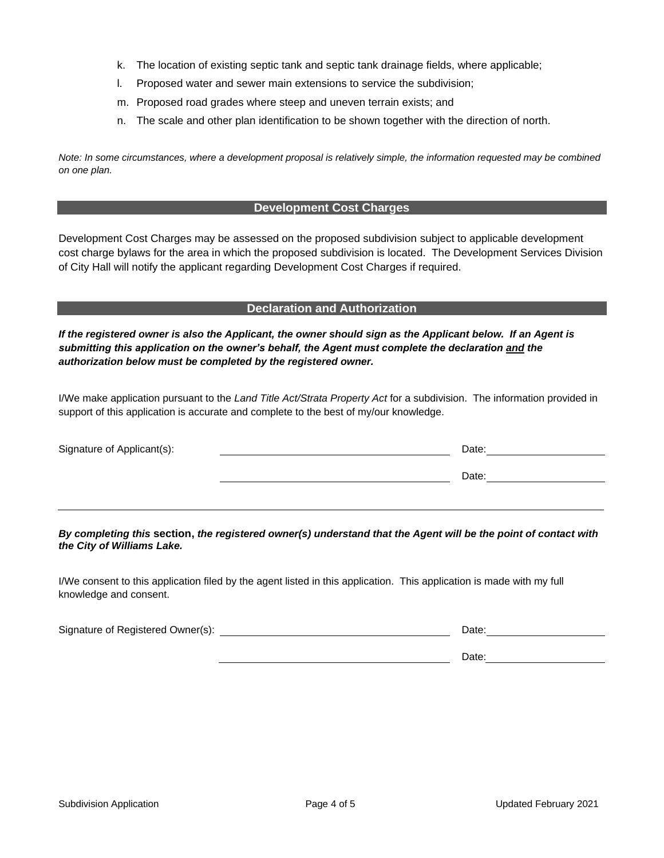- k. The location of existing septic tank and septic tank drainage fields, where applicable;
- l. Proposed water and sewer main extensions to service the subdivision;
- m. Proposed road grades where steep and uneven terrain exists; and
- n. The scale and other plan identification to be shown together with the direction of north.

*Note: In some circumstances, where a development proposal is relatively simple, the information requested may be combined on one plan.*

#### **Development Cost Charges**

Development Cost Charges may be assessed on the proposed subdivision subject to applicable development cost charge bylaws for the area in which the proposed subdivision is located. The Development Services Division of City Hall will notify the applicant regarding Development Cost Charges if required.

#### **Declaration and Authorization**

*If the registered owner is also the Applicant, the owner should sign as the Applicant below. If an Agent is submitting this application on the owner's behalf, the Agent must complete the declaration and the authorization below must be completed by the registered owner.* 

I/We make application pursuant to the *Land Title Act/Strata Property Act* for a subdivision. The information provided in support of this application is accurate and complete to the best of my/our knowledge.

| Signature of Applicant(s): | Date: |
|----------------------------|-------|
|                            | Date: |
|                            |       |

*By completing this* **section,** *the registered owner(s) understand that the Agent will be the point of contact with the City of Williams Lake.*

I/We consent to this application filed by the agent listed in this application. This application is made with my full knowledge and consent.

Signature of Registered Owner(s): Date:

Date: **Date: Date: Date: Date:**